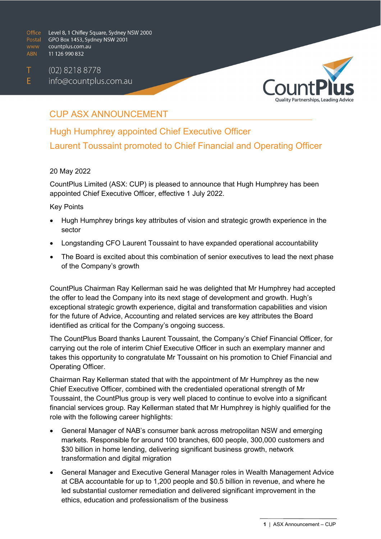$(02)$  8218 8778 T  $E$ info@countplus.com.au



## CUP ASX ANNOUNCEMENT

# Hugh Humphrey appointed Chief Executive Officer Laurent Toussaint promoted to Chief Financial and Operating Officer

#### 20 May 2022

CountPlus Limited (ASX: CUP) is pleased to announce that Hugh Humphrey has been appointed Chief Executive Officer, effective 1 July 2022.

#### Key Points

- Hugh Humphrey brings key attributes of vision and strategic growth experience in the sector
- Longstanding CFO Laurent Toussaint to have expanded operational accountability
- The Board is excited about this combination of senior executives to lead the next phase of the Company's growth

CountPlus Chairman Ray Kellerman said he was delighted that Mr Humphrey had accepted the offer to lead the Company into its next stage of development and growth. Hugh's exceptional strategic growth experience, digital and transformation capabilities and vision for the future of Advice, Accounting and related services are key attributes the Board identified as critical for the Company's ongoing success.

The CountPlus Board thanks Laurent Toussaint, the Company's Chief Financial Officer, for carrying out the role of interim Chief Executive Officer in such an exemplary manner and takes this opportunity to congratulate Mr Toussaint on his promotion to Chief Financial and Operating Officer.

Chairman Ray Kellerman stated that with the appointment of Mr Humphrey as the new Chief Executive Officer, combined with the credentialed operational strength of Mr Toussaint, the CountPlus group is very well placed to continue to evolve into a significant financial services group. Ray Kellerman stated that Mr Humphrey is highly qualified for the role with the following career highlights:

- General Manager of NAB's consumer bank across metropolitan NSW and emerging markets. Responsible for around 100 branches, 600 people, 300,000 customers and \$30 billion in home lending, delivering significant business growth, network transformation and digital migration
- General Manager and Executive General Manager roles in Wealth Management Advice at CBA accountable for up to 1,200 people and \$0.5 billion in revenue, and where he led substantial customer remediation and delivered significant improvement in the ethics, education and professionalism of the business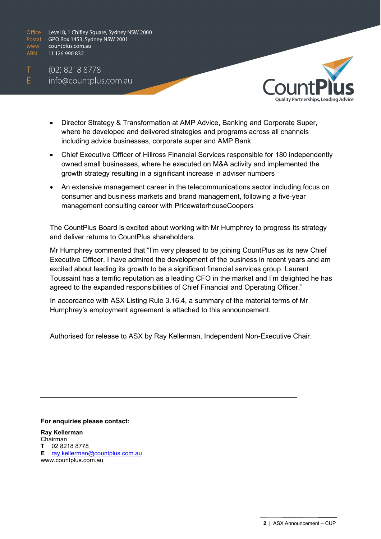$(02)$  8218 8778 info@countplus.com.au

Т

E



- Director Strategy & Transformation at AMP Advice, Banking and Corporate Super, where he developed and delivered strategies and programs across all channels including advice businesses, corporate super and AMP Bank
- Chief Executive Officer of Hillross Financial Services responsible for 180 independently owned small businesses, where he executed on M&A activity and implemented the growth strategy resulting in a significant increase in adviser numbers
- An extensive management career in the telecommunications sector including focus on consumer and business markets and brand management, following a five-year management consulting career with PricewaterhouseCoopers

The CountPlus Board is excited about working with Mr Humphrey to progress its strategy and deliver returns to CountPlus shareholders.

Mr Humphrey commented that "I'm very pleased to be joining CountPlus as its new Chief Executive Officer. I have admired the development of the business in recent years and am excited about leading its growth to be a significant financial services group. Laurent Toussaint has a terrific reputation as a leading CFO in the market and I'm delighted he has agreed to the expanded responsibilities of Chief Financial and Operating Officer."

In accordance with ASX Listing Rule 3.16.4, a summary of the material terms of Mr Humphrey's employment agreement is attached to this announcement.

Authorised for release to ASX by Ray Kellerman, Independent Non-Executive Chair.

**For enquiries please contact:**

**Ray Kellerman**  Chairman **T** 02 8218 8778 **E** [ray.kellerman@countplus.com.au](mailto:ray.kellerman@countplus.com.au)  www.countplus.com.au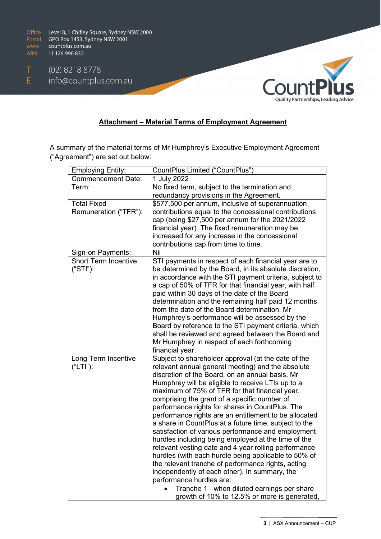$(02)$  8218 8778  $E$ info@countplus.com.au



### **Attachment – Material Terms of Employment Agreement**

A summary of the material terms of Mr Humphrey's Executive Employment Agreement ("Agreement") are set out below:

| <b>Employing Entity:</b>    | CountPlus Limited ("CountPlus")                                                                     |
|-----------------------------|-----------------------------------------------------------------------------------------------------|
| <b>Commencement Date:</b>   | 1 July 2022                                                                                         |
| Term:                       | No fixed term, subject to the termination and                                                       |
|                             | redundancy provisions in the Agreement.                                                             |
| <b>Total Fixed</b>          | \$577,500 per annum, inclusive of superannuation                                                    |
| Remuneration ("TFR"):       | contributions equal to the concessional contributions                                               |
|                             | cap (being \$27,500 per annum for the 2021/2022                                                     |
|                             | financial year). The fixed remuneration may be                                                      |
|                             | increased for any increase in the concessional                                                      |
|                             | contributions cap from time to time.                                                                |
| Sign-on Payments:           | <b>Nil</b>                                                                                          |
| <b>Short Term Incentive</b> | STI payments in respect of each financial year are to                                               |
| $("STI")$ :                 | be determined by the Board, in its absolute discretion,                                             |
|                             | in accordance with the STI payment criteria, subject to                                             |
|                             | a cap of 50% of TFR for that financial year, with half                                              |
|                             | paid within 30 days of the date of the Board                                                        |
|                             | determination and the remaining half paid 12 months<br>from the date of the Board determination. Mr |
|                             | Humphrey's performance will be assessed by the                                                      |
|                             | Board by reference to the STI payment criteria, which                                               |
|                             | shall be reviewed and agreed between the Board and                                                  |
|                             | Mr Humphrey in respect of each forthcoming                                                          |
|                             | financial year.                                                                                     |
| Long Term Incentive         | Subject to shareholder approval (at the date of the                                                 |
| ("LTI"):                    | relevant annual general meeting) and the absolute                                                   |
|                             | discretion of the Board, on an annual basis, Mr                                                     |
|                             | Humphrey will be eligible to receive LTIs up to a                                                   |
|                             | maximum of 75% of TFR for that financial year,                                                      |
|                             | comprising the grant of a specific number of                                                        |
|                             | performance rights for shares in CountPlus. The                                                     |
|                             | performance rights are an entitlement to be allocated                                               |
|                             | a share in CountPlus at a future time, subject to the                                               |
|                             | satisfaction of various performance and employment                                                  |
|                             | hurdles including being employed at the time of the                                                 |
|                             | relevant vesting date and 4 year rolling performance                                                |
|                             | hurdles (with each hurdle being applicable to 50% of                                                |
|                             | the relevant tranche of performance rights, acting                                                  |
|                             | independently of each other). In summary, the                                                       |
|                             | performance hurdles are:                                                                            |
|                             | Tranche 1 - when diluted earnings per share                                                         |
|                             | growth of 10% to 12.5% or more is generated,                                                        |